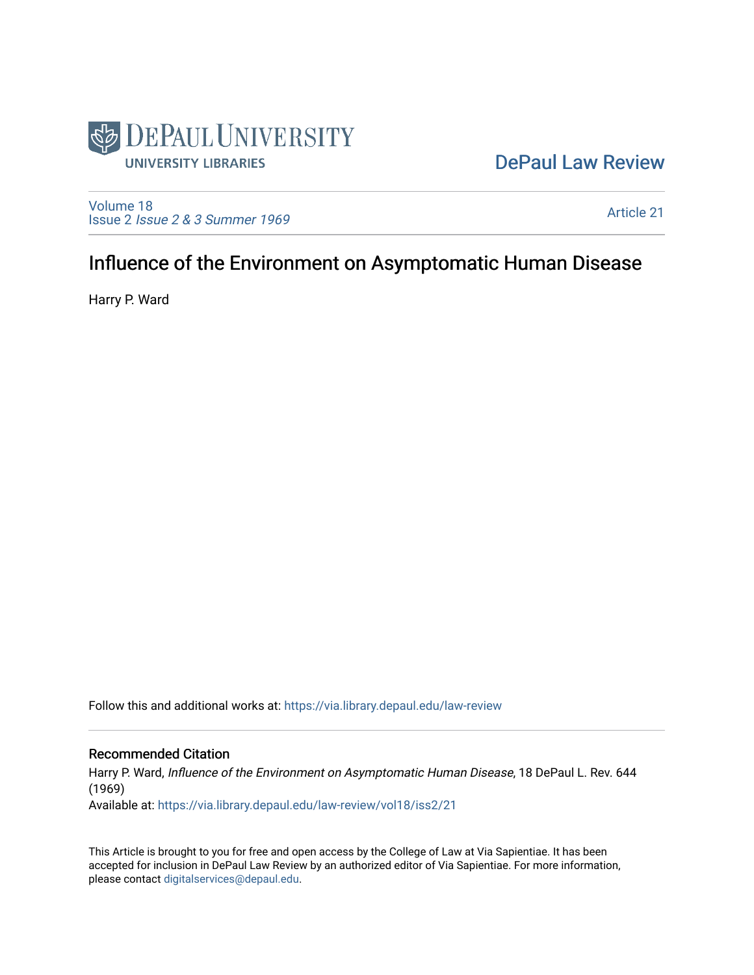

[DePaul Law Review](https://via.library.depaul.edu/law-review) 

[Volume 18](https://via.library.depaul.edu/law-review/vol18) Issue 2 [Issue 2 & 3 Summer 1969](https://via.library.depaul.edu/law-review/vol18/iss2) 

[Article 21](https://via.library.depaul.edu/law-review/vol18/iss2/21) 

# Influence of the Environment on Asymptomatic Human Disease

Harry P. Ward

Follow this and additional works at: [https://via.library.depaul.edu/law-review](https://via.library.depaul.edu/law-review?utm_source=via.library.depaul.edu%2Flaw-review%2Fvol18%2Fiss2%2F21&utm_medium=PDF&utm_campaign=PDFCoverPages) 

# Recommended Citation

Harry P. Ward, Influence of the Environment on Asymptomatic Human Disease, 18 DePaul L. Rev. 644 (1969)

Available at: [https://via.library.depaul.edu/law-review/vol18/iss2/21](https://via.library.depaul.edu/law-review/vol18/iss2/21?utm_source=via.library.depaul.edu%2Flaw-review%2Fvol18%2Fiss2%2F21&utm_medium=PDF&utm_campaign=PDFCoverPages)

This Article is brought to you for free and open access by the College of Law at Via Sapientiae. It has been accepted for inclusion in DePaul Law Review by an authorized editor of Via Sapientiae. For more information, please contact [digitalservices@depaul.edu.](mailto:digitalservices@depaul.edu)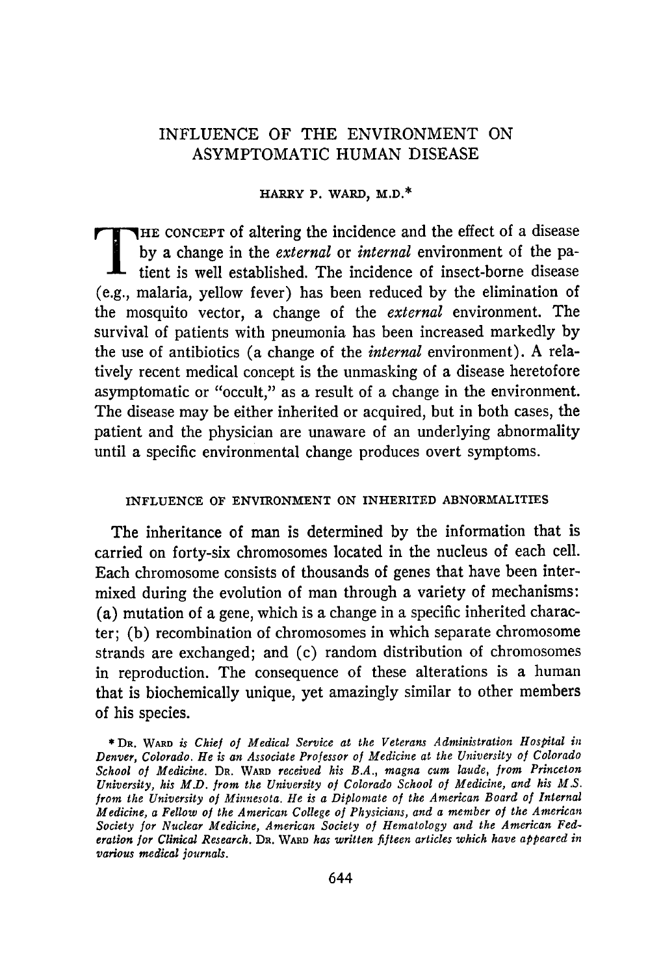# INFLUENCE OF THE ENVIRONMENT ON ASYMPTOMATIC HUMAN DISEASE

### **HARRY** P. WARD, **M.D.\***

HE CONCEPT of altering the incidence and the effect of a disease by a change in the *external* or *internal* environment of the patient is well established. The incidence of insect-borne disease (e.g., malaria, yellow fever) has been reduced by the elimination of the mosquito vector, a change of the *external* environment. The survival of patients with pneumonia has been increased markedly by the use of antibiotics (a change of the *internal* environment). A relatively recent medical concept is the unmasking of a disease heretofore asymptomatic or "occult," as a result of a change in the environment. The disease may be either inherited or acquired, but in both cases, the patient and the physician are unaware of an underlying abnormality until a specific environmental change produces overt symptoms.

#### **INFLUENCE** OF ENVIRONMENT **ON INHERITED ABNORMALITIES**

The inheritance of man is determined by the information that is carried on forty-six chromosomes located in the nucleus of each cell. Each chromosome consists of thousands of genes that have been intermixed during the evolution of man through a variety of mechanisms: (a) mutation of a gene, which is a change in a specific inherited character; (b) recombination of chromosomes in which separate chromosome strands are exchanged; and (c) random distribution of chromosomes in reproduction. The consequence of these alterations is a human that is biochemically unique, yet amazingly similar to other members of his species.

<sup>\*</sup> **DR.** WARD *is Chief of Medical Service at the Veterans Administration Hospital in Denver, Colorado. He is an Associate Professor of Medicine at the University of Colorado School of Medicine.* **DR. WARD** *received his B.A., magna cum laude, from Princeton University, his M.D. from the University of Colorado School of Medicine, and his M.S. from the University of Minnesota. He is a Diplomate of the American Board of Internal Medicine, a Fellow of the American College of Physicians, and a member of the American Society for Nuclear Medicine, American Society of Hematology and the American Federation for Clinical Research.* **DR. WARD** *has written fifteen articles which have appeared in various medical journals.*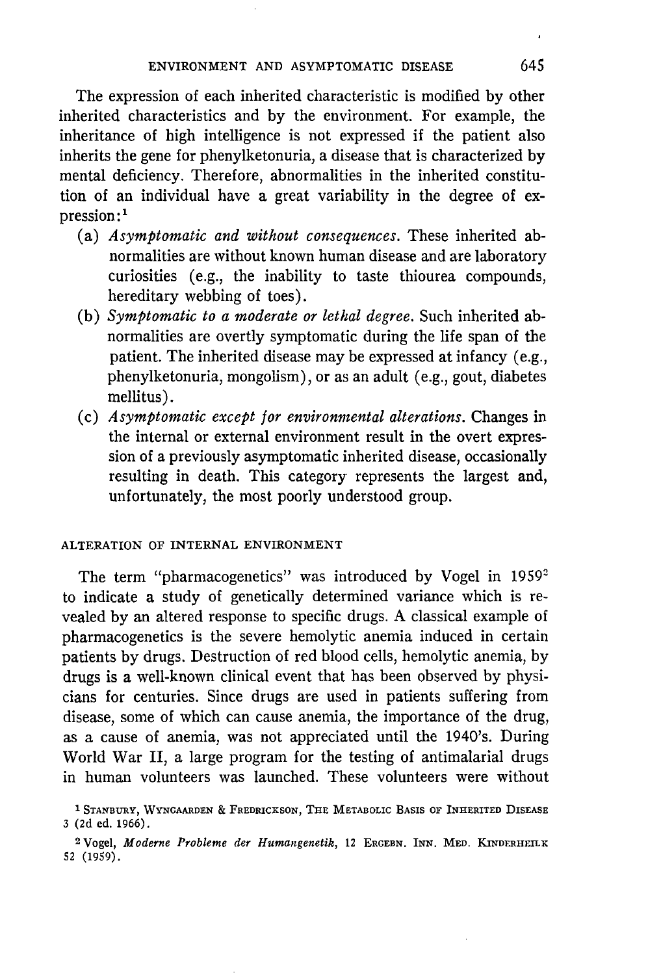The expression of each inherited characteristic is modified by other inherited characteristics and by the environment. For example, the inheritance of high intelligence is not expressed if the patient also inherits the gene for phenylketonuria, a disease that is characterized by mental deficiency. Therefore, abnormalities in the inherited constitution of an individual have a great variability in the degree of expression:<sup>1</sup>

- (a) *Asymptomatic and without consequences.* These inherited abnormalities are without known human disease and are laboratory curiosities (e.g., the inability to taste thiourea compounds, hereditary webbing of toes).
- (b) *Symptomatic to a moderate or lethal degree.* Such inherited abnormalities are overtly symptomatic during the life span of the patient. The inherited disease may be expressed at infancy (e.g., phenylketonuria, mongolism), or as an adult (e.g., gout, diabetes mellitus).
- (c) *Asymptomatic except for environmental alterations.* Changes in the internal or external environment result in the overt expression of a previously asymptomatic inherited disease, occasionally resulting in death. This category represents the largest and, unfortunately, the most poorly understood group.

#### ALTERATION OF **INTERNAL** ENVIRONMENT

The term "pharmacogenetics" was introduced by Vogel in 1959<sup>2</sup> to indicate a study of genetically determined variance which is revealed by an altered response to specific drugs. A classical example of pharmacogenetics is the severe hemolytic anemia induced in certain patients by drugs. Destruction of red blood cells, hemolytic anemia, by drugs is a well-known clinical event that has been observed by physicians for centuries. Since drugs are used in patients suffering from disease, some of which can cause anemia, the importance of the drug, as a cause of anemia, was not appreciated until the 1940's. During World War **II,** a large program for the testing of antimalarial drugs in human volunteers was launched. These volunteers were without

**<sup>1</sup> STANBURY,** WYNGAARDEN **&** FREDRICKSON, THE METABOLIC BASIS OF INHERITED DISEASE 3 (2d **ed.** 1966).

**<sup>2</sup>**Vogel, *Moderne Probleme der Humangenetik,* 12 ERGEBN. **INN. MED.** KINDERtlETLK 52 (1959).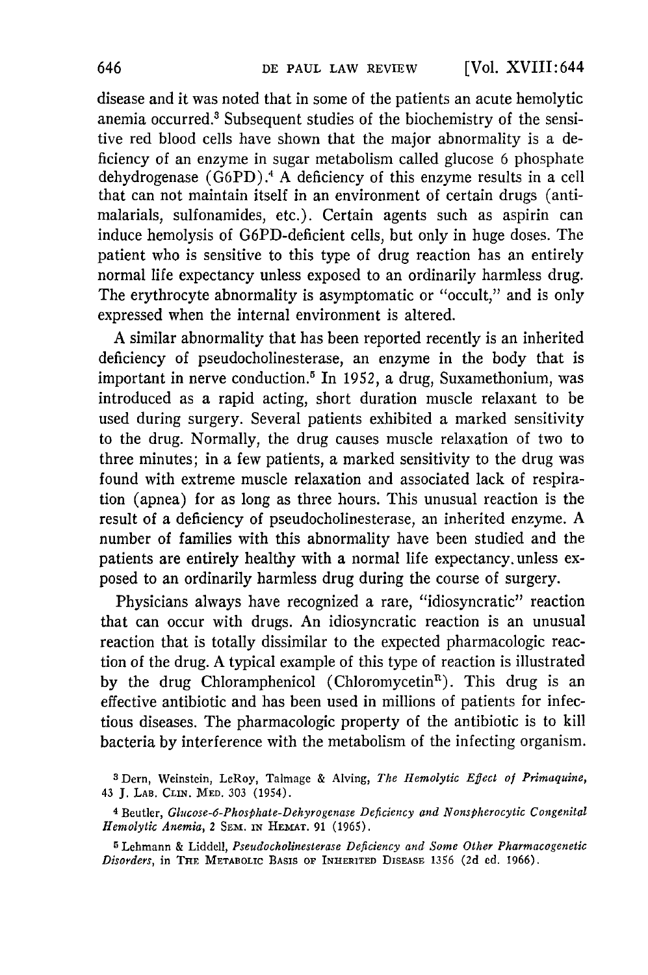disease and it was noted that in some of the patients an acute hemolytic anemia occurred.' Subsequent studies of the biochemistry of the sensitive red blood cells have shown that the major abnormality is a deficiency of an enzyme in sugar metabolism called glucose 6 phosphate dehydrogenase  $(G6PD)$ .<sup>4</sup> A deficiency of this enzyme results in a cell that can not maintain itself in an environment of certain drugs (antimalarials, sulfonamides, etc.). Certain agents such as aspirin can induce hemolysis of G6PD-deficient cells, but only in huge doses. The patient who is sensitive to this type of drug reaction has an entirely normal life expectancy unless exposed to an ordinarily harmless drug. The erythrocyte abnormality is asymptomatic or "occult," and is only expressed when the internal environment is altered.

A similar abnormality that has been reported recently is an inherited deficiency of pseudocholinesterase, an enzyme in the body that is important in nerve conduction.5 In 1952, a drug, Suxamethonium, was introduced as a rapid acting, short duration muscle relaxant to be used during surgery. Several patients exhibited a marked sensitivity to the drug. Normally, the drug causes muscle relaxation of two to three minutes; in a few patients, a marked sensitivity to the drug was found with extreme muscle relaxation and associated lack of respiration (apnea) for as long as three hours. This unusual reaction is the result of a deficiency of pseudocholinesterase, an inherited enzyme. A number of families with this abnormality have been studied and the patients are entirely healthy with a normal life expectancy, unless exposed to an ordinarily harmless drug during the course of surgery.

Physicians always have recognized a rare, "idiosyncratic" reaction that can occur with drugs. An idiosyncratic reaction is an unusual reaction that is totally dissimilar to the expected pharmacologic reaction of the drug. A typical example of this type of reaction is illustrated by the drug Chloramphenicol (Chloromycetin<sup>n</sup>). This drug is an effective antibiotic and has been used in millions of patients for infectious diseases. The pharmacologic property of the antibiotic is to kill bacteria by interference with the metabolism of the infecting organism.

**5** Lehmann & Liddell, *Pseudocholinesterase Deficiency and Some Other Pharmacogenetic* Disorders, in THE METABOLIC BASIS OF INHERITED DISEASE 1356 (2d ed. 1966).

**<sup>3</sup>** Dern, Weinstein, LeRoy, Talmage & Alving, *The Hemolytic Effect of Primaquine,* 43 J. LAB. CLIN. MED. 303 (1954).

<sup>4</sup> Beutler, *Glucose-6-Phosphate-Dehyrogenase Deficiency and Nonspherocytic Congenital Hemolytic Anemia,* 2 SEm. **N** HEMAT. 91 (1965).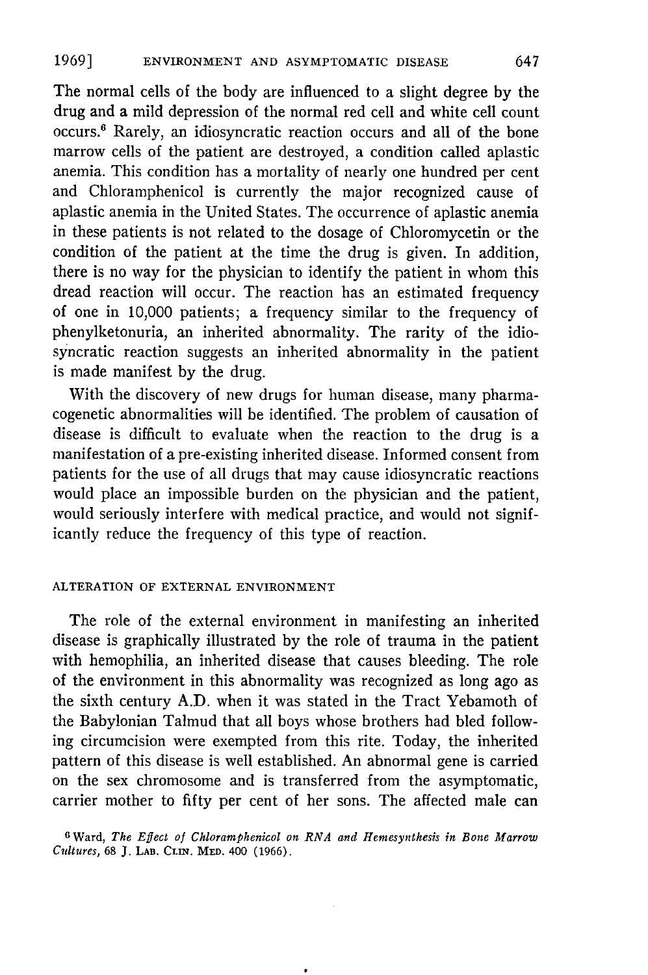The normal cells of the body are influenced to a slight degree by the drug and a mild depression of the normal red cell and white cell count occurs.<sup>6</sup> Rarely, an idiosyncratic reaction occurs and all of the bone marrow cells of the patient are destroyed, a condition called aplastic anemia. This condition has a mortality of nearly one hundred per cent and Chloramphenicol is currently the major recognized cause of aplastic anemia in the United States. The occurrence of aplastic anemia in these patients is not related to the dosage of Chloromycetin or the condition of the patient at the time the drug is given. In addition, there is no way for the physician to identify the patient in whom this dread reaction will occur. The reaction has an estimated frequency of one in 10,000 patients; a frequency similar to the frequency of phenylketonuria, an inherited abnormality. The rarity of the idiosyncratic reaction suggests an inherited abnormality in the patient is made manifest by the drug.

With the discovery of new drugs for human disease, many pharmacogenetic abnormalities will be identified. The problem of causation of disease is difficult to evaluate when the reaction to the drug is a manifestation of a pre-existing inherited disease. Informed consent from patients for the use of all drugs that may cause idiosyncratic reactions would place an impossible burden on the physician and the patient, would seriously interfere with medical practice, and would not significantly reduce the frequency of this type of reaction.

## ALTERATION OF EXTERNAL ENVIRONMENT

The role of the external environment in manifesting an inherited disease is graphically illustrated by the role of trauma in the patient with hemophilia, an inherited disease that causes bleeding. The role of the environment in this abnormality was recognized as long ago as the sixth century A.D. when it was stated in the Tract Yebamoth of the Babylonian Talmud that all boys whose brothers had bled following circumcision were exempted from this rite. Today, the inherited pattern of this disease is well established. An abnormal gene is carried on the sex chromosome and is transferred from the asymptomatic, carrier mother to fifty per cent of her sons. The affected male can

**<sup>6</sup>**Ward, *The Effect of Chloramphenicol on RNA and Hemesynthesis in Bone Marrow Cultures,* **68 J. LAB. CLIN.** MED. 400 **(1966).**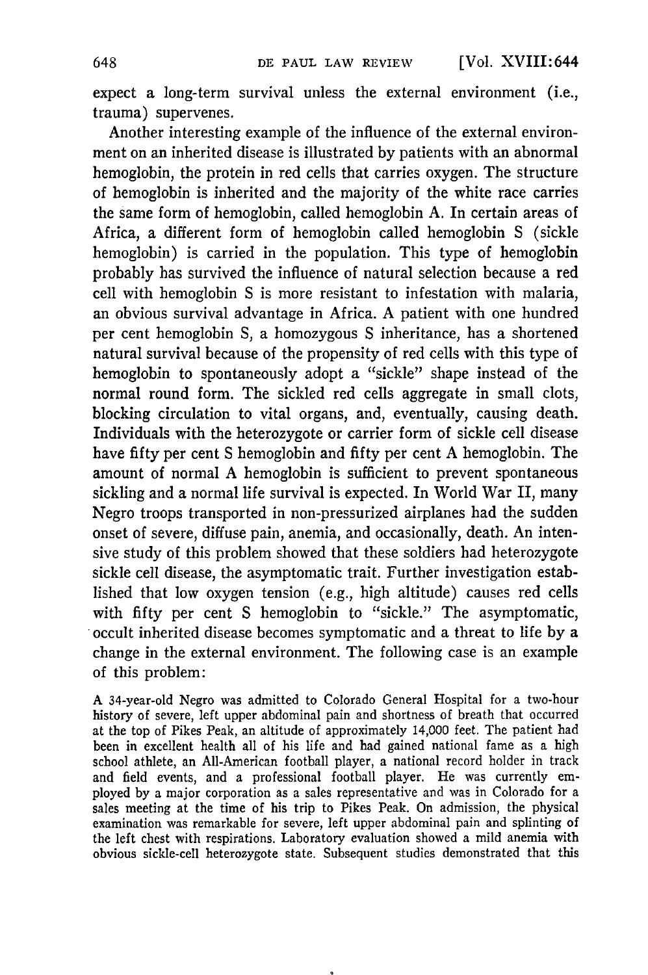expect a long-term survival unless the external environment (i.e., trauma) supervenes.

Another interesting example of the influence of the external environment on an inherited disease is illustrated by patients with an abnormal hemoglobin, the protein in red cells that carries oxygen. The structure of hemoglobin is inherited and the majority of the white race carries the same form of hemoglobin, called hemoglobin A. In certain areas of Africa, a different form of hemoglobin called hemoglobin S (sickle hemoglobin) is carried in the population. This type of hemoglobin probably has survived the influence of natural selection because a red cell with hemoglobin S is more resistant to infestation with malaria, an obvious survival advantage in Africa. A patient with one hundred per cent hemoglobin **S,** a homozygous S inheritance, has a shortened natural survival because of the propensity of red cells with this type of hemoglobin to spontaneously adopt a "sickle" shape instead of the normal round form. The sickled red cells aggregate in small clots, blocking circulation to vital organs, and, eventually, causing death. Individuals with the heterozygote or carrier form of sickle cell disease have fifty per cent S hemoglobin and fifty per cent A hemoglobin. The amount of normal A hemoglobin is sufficient to prevent spontaneous sickling and a normal life survival is expected. In World War II, many Negro troops transported in non-pressurized airplanes had the sudden onset of severe, diffuse pain, anemia, and occasionally, death. An intensive study of this problem showed that these soldiers had heterozygote sickle cell disease, the asymptomatic trait. Further investigation established that low oxygen tension (e.g., high altitude) causes red cells with fifty per cent S hemoglobin to "sickle." The asymptomatic, occult inherited disease becomes symptomatic and a threat to life by a change in the external environment. The following case is an example of this problem:

A 34-year-old Negro was admitted to Colorado General Hospital for a two-hour history of severe, left upper abdominal pain and shortness of breath that occurred at the top of Pikes Peak, an altitude of approximately 14,000 feet. The patient had been in excellent health all of his life and had gained national fame as a high school athlete, an All-American football player, a national record holder in track and field events, and a professional football player. He was currently employed by a major corporation as a sales representative and was in Colorado for a sales meeting at the time of his trip to Pikes Peak. On admission, the physical examination was remarkable for severe, left upper abdominal pain and splinting of the left chest with respirations. Laboratory evaluation showed a mild anemia with obvious sickle-cell heterozygote state. Subsequent studies demonstrated that this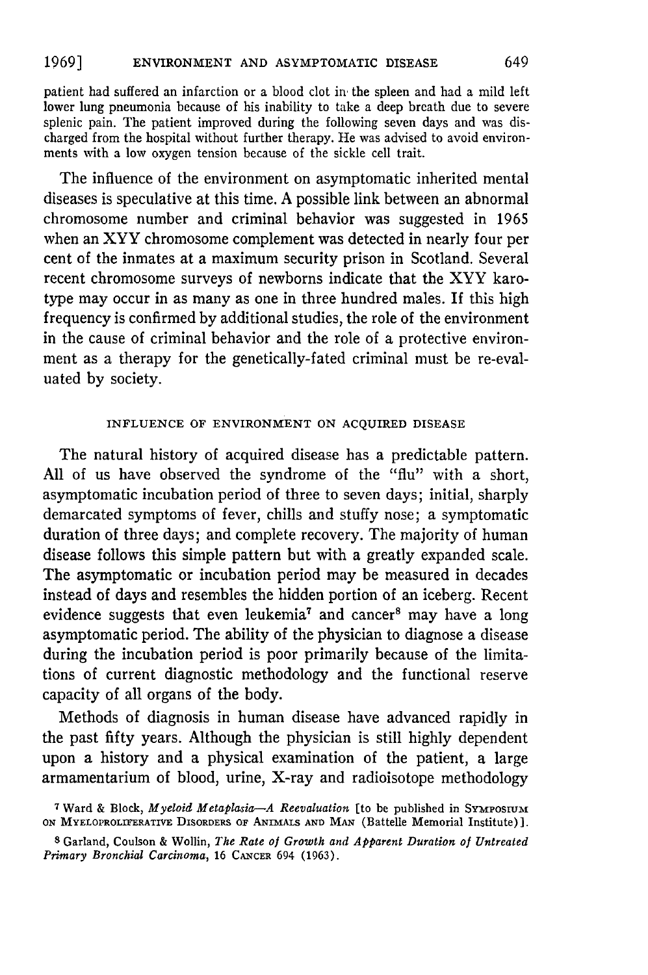patient had suffered an infarction or a blood clot in the spleen and had a mild left lower lung pneumonia because of his inability to take a deep breath due to severe splenic pain. The patient improved during the following seven days and was discharged from the hospital without further therapy. He was advised to avoid environments with a low oxygen tension because of the sickle cell trait.

The influence of the environment on asymptomatic inherited mental diseases is speculative at this time. A possible link between an abnormal chromosome number and criminal behavior was suggested in 1965 when an XYY chromosome complement was detected in nearly four per cent of the inmates at a maximum security prison in Scotland. Several recent chromosome surveys of newborns indicate that the XYY karotype may occur in as many as one in three hundred males. If this high frequency is confirmed by additional studies, the role of the environment in the cause of criminal behavior and the role of a protective environment as a therapy for the genetically-fated criminal must be re-evaluated by society.

## **INFLUENCE** OF ENVIRONMENT **ON** ACQUIRED **DISEASE**

The natural history of acquired disease has a predictable pattern. All of us have observed the syndrome of the "flu" with a short, asymptomatic incubation period of three to seven days; initial, sharply demarcated symptoms of fever, chills and stuffy nose; a symptomatic duration of three days; and complete recovery. The majority of human disease follows this simple pattern but with a greatly expanded scale. The asymptomatic or incubation period may be measured in decades instead of days and resembles the hidden portion of an iceberg. Recent evidence suggests that even leukemia<sup>7</sup> and cancer<sup>8</sup> may have a long asymptomatic period. The ability of the physician to diagnose a disease during the incubation period is poor primarily because of the limitations of current diagnostic methodology and the functional reserve capacity of all organs of the body.

Methods of diagnosis in human disease have advanced rapidly in the past fifty years. Although the physician is still highly dependent upon a history and a physical examination of the patient, a large armamentarium of blood, urine, X-ray and radioisotope methodology

**<sup>7</sup>** Ward & Block, *Myeloid Metaplasia-A Reevaluation* [to **be** published in **SYMPOSIUM ON MYELOPROLIFERATIVE** DISORDERS OF ANIMALS **AND MAN** (Battelle Memorial **Institute)].**

**<sup>8</sup>** Garland, **Coulson &** Wollin, *The Rate of Growth and Apparent Duration oj Untreated Primary Bronchial Carcinoma,* **16** CANcER 694 **(1963).**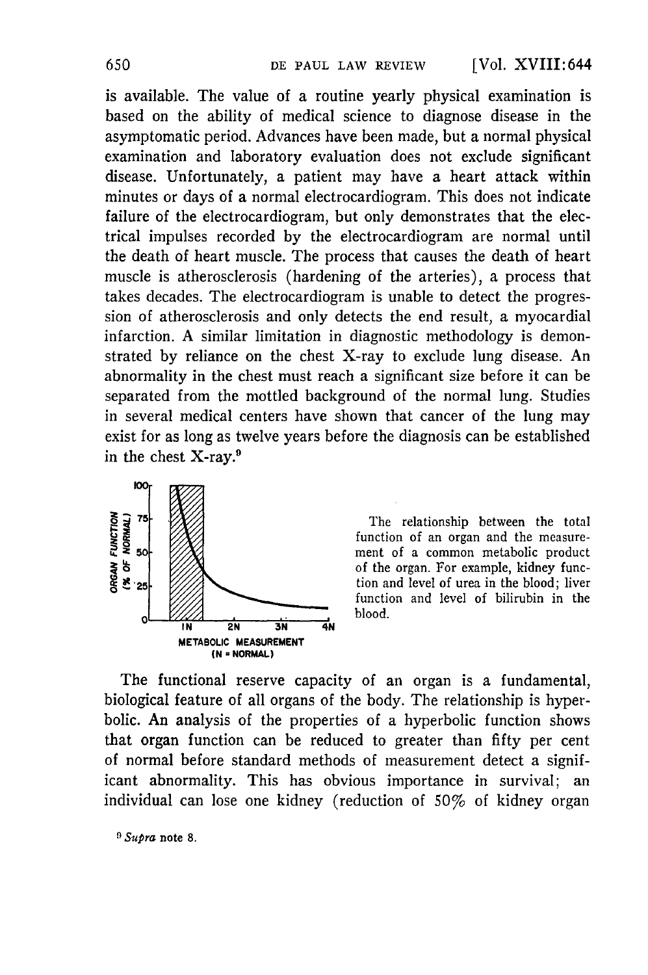is available. The value of a routine yearly physical examination is based on the ability of medical science to diagnose disease in the asymptomatic period. Advances have been made, but a normal physical examination and laboratory evaluation does not exclude significant disease. Unfortunately, a patient may have a heart attack within minutes or days of a normal electrocardiogram. This does not indicate failure of the electrocardiogram, but only demonstrates that the electrical impulses recorded by the electrocardiogram are normal until the death of heart muscle. The process that causes the death of heart muscle is atherosclerosis (hardening of the arteries), a process that takes decades. The electrocardiogram is unable to detect the progression of atherosclerosis and only detects the end result, a myocardial infarction. A similar limitation in diagnostic methodology is demonstrated by reliance on the chest X-ray to exclude lung disease. An abnormality in the chest must reach a significant size before it can be separated from the mottled background of the normal lung. Studies in several medical centers have shown that cancer of the lung may exist for as long as twelve years before the diagnosis can be established in the chest X-ray.9



function of an organ and the measure ment of a common metabolic product of the organ. For example, kidney function and level of urea in the blood; liver function and level of bilirubin in the blood.

The functional reserve capacity of an organ is a fundamental, biological feature of all organs of the body. The relationship is hyperbolic. An analysis of the properties of a hyperbolic function shows that organ function can be reduced to greater than fifty per cent of normal before standard methods of measurement detect a significant abnormality. This has obvious importance in survival; an individual can lose one kidney (reduction of 50% of kidney organ

*9 Supra* note **8.**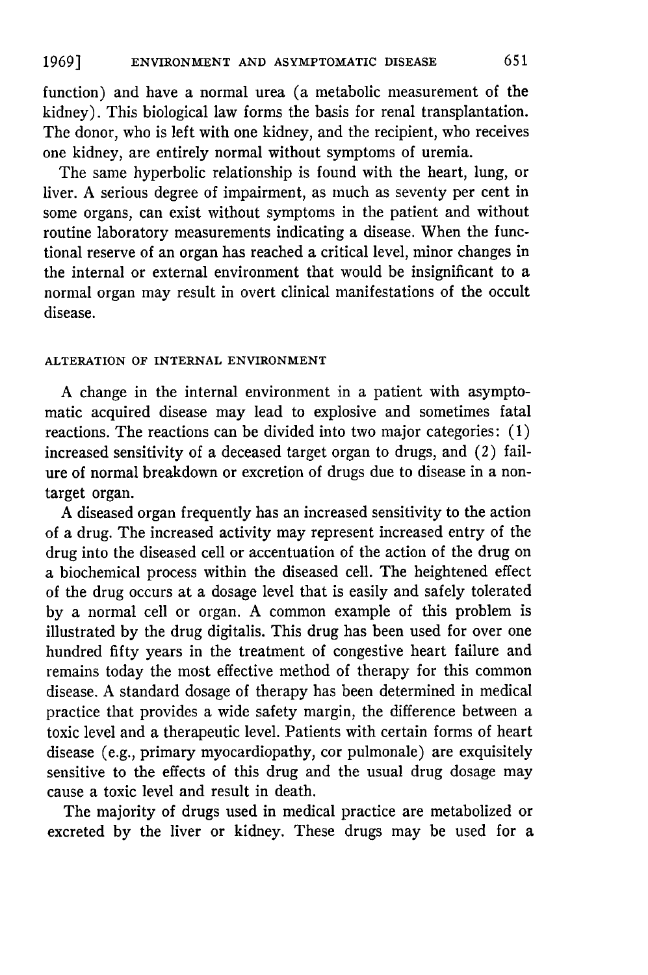function) and have a normal urea (a metabolic measurement of the kidney). This biological law forms the basis for renal transplantation. The donor, who is left with one kidney, and the recipient, who receives one kidney, are entirely normal without symptoms of uremia.

The same hyperbolic relationship is found with the heart, lung, or liver. A serious degree of impairment, as much as seventy per cent in some organs, can exist without symptoms in the patient and without routine laboratory measurements indicating a disease. When the functional reserve of an organ has reached a critical level, minor changes in the internal or external environment that would be insignificant to a normal organ may result in overt clinical manifestations of the occult disease.

#### ALTERATION OF INTERNAL ENVIRONMENT

A change in the internal environment in a patient with asymptomatic acquired disease may lead to explosive and sometimes fatal reactions. The reactions can be divided into two major categories: (1) increased sensitivity of a deceased target organ to drugs, and (2) failure of normal breakdown or excretion of drugs due to disease in a nontarget organ.

A diseased organ frequently has an increased sensitivity to the action of a drug. The increased activity may represent increased entry of the drug into the diseased cell or accentuation of the action of the drug on a biochemical process within the diseased cell. The heightened effect of the drug occurs at a dosage level that is easily and safely tolerated by a normal cell or organ. A common example of this problem is illustrated by the drug digitalis. This drug has been used for over one hundred fifty years in the treatment of congestive heart failure and remains today the most effective method of therapy for this common disease. A standard dosage of therapy has been determined in medical practice that provides a wide safety margin, the difference between a toxic level and a therapeutic level. Patients with certain forms of heart disease (e.g., primary myocardiopathy, cor pulmonale) are exquisitely sensitive to the effects of this drug and the usual drug dosage may cause a toxic level and result in death.

The majority of drugs used in medical practice are metabolized or excreted by the liver or kidney. These drugs may be used for a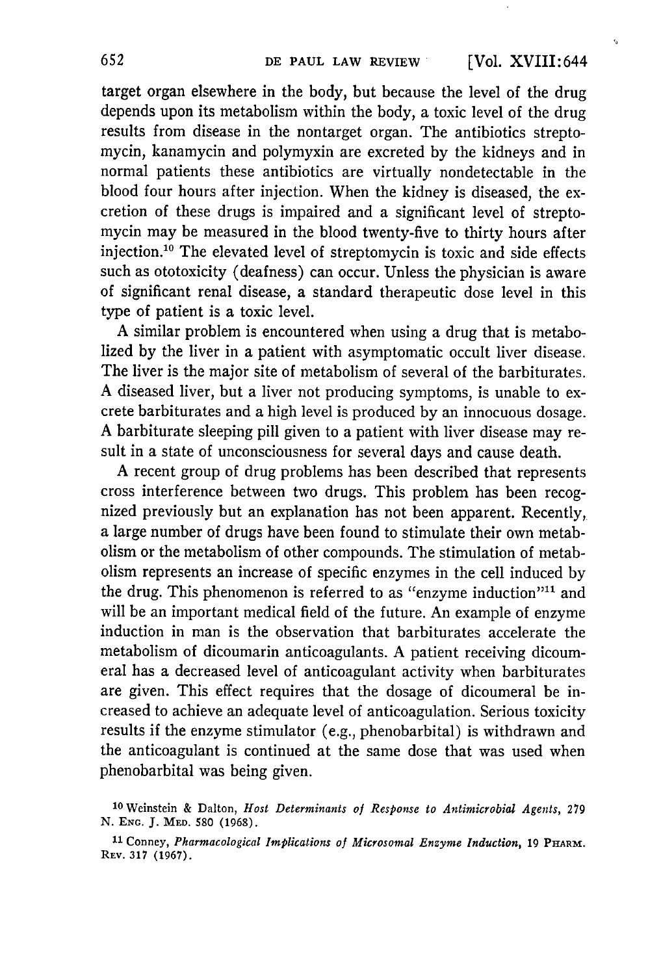Ġ.

target organ elsewhere in the body, but because the level of the drug depends upon its metabolism within the body, a toxic level of the drug results from disease in the nontarget organ. The antibiotics streptomycin, kanamycin and polymyxin are excreted by the kidneys and in normal patients these antibiotics are virtually nondetectable in the blood four hours after injection. When the kidney is diseased, the excretion of these drugs is impaired and a significant level of streptomycin may be measured in the blood twenty-five to thirty hours after injection.<sup>10</sup> The elevated level of streptomycin is toxic and side effects such as ototoxicity (deafness) can occur. Unless the physician is aware of significant renal disease, a standard therapeutic dose level in this type of patient is a toxic level.

A similar problem is encountered when using a drug that is metabolized by the liver in a patient with asymptomatic occult liver disease. The liver is the major site of metabolism of several of the barbiturates. A diseased liver, but a liver not producing symptoms, is unable to excrete barbiturates and a high level is produced by an innocuous dosage. A barbiturate sleeping pill given to a patient with liver disease may result in a state of unconsciousness for several days and cause death.

A recent group of drug problems has been described that represents cross interference between two drugs. This problem has been recognized previously but an explanation has not been apparent. Recently, a large number of drugs have been found to stimulate their own metabolism or the metabolism of other compounds. The stimulation of metabolism represents an increase of specific enzymes in the cell induced by the drug. This phenomenon is referred to as "enzyme induction"<sup>11</sup> and will be an important medical field of the future. An example of enzyme induction in man is the observation that barbiturates accelerate the metabolism of dicoumarin anticoagulants. A patient receiving dicoumeral has a decreased level of anticoagulant activity when barbiturates are given. This effect requires that the dosage of dicoumeral be increased to achieve an adequate level of anticoagulation. Serious toxicity results if the enzyme stimulator (e.g., phenobarbital) is withdrawn and the anticoagulant is continued at the same dose that was used when phenobarbital was being given.

**<sup>10</sup>**Weinstein **&** Dalton, *Host Determinants of Response to Antimicrobial Agents,* **279 N. ENO.** J. **MED. 580 (1968).**

**<sup>11</sup>**Conney, *Pharmacological Implications oj Microsomal Enzyme Induction,* **19 PHARM.** REV. **317** (1967).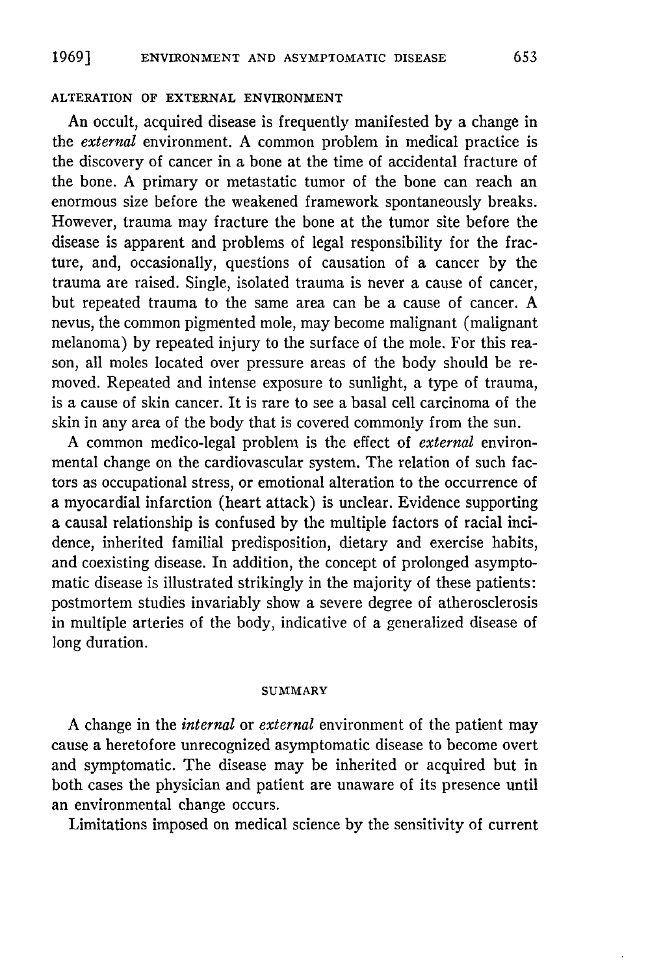# ALTERATION OF EXTERNAL ENVIRONMENT

An occult, acquired disease is frequently manifested by a change in the *external* environment. A common problem in medical practice is the discovery of cancer in a bone at the time of accidental fracture of the bone. A primary or metastatic tumor of the bone can reach an enormous size before the weakened framework spontaneously breaks. However, trauma may fracture the bone at the tumor site before the disease is apparent and problems of legal responsibility for the fracture, and, occasionally, questions of causation of a cancer by the trauma are raised. Single, isolated trauma is never a cause of cancer, but repeated trauma to the same area can be a cause of cancer. A nevus, the common pigmented mole, may become malignant (malignant melanoma) by repeated injury to the surface of the mole. For this reason, all moles located over pressure areas of the body should be removed. Repeated and intense exposure to sunlight, a type of trauma, is a cause of skin cancer. It is rare to see a basal cell carcinoma of the skin in any area of the body that is covered commonly from the sun.

A common medico-legal problem is the effect of *external* environmental change on the cardiovascular system. The relation of such factors as occupational stress, or emotional alteration to the occurrence of a myocardial infarction (heart attack) is unclear. Evidence supporting a causal relationship is confused by the multiple factors of racial incidence, inherited familial predisposition, dietary and exercise habits, and coexisting disease. In addition, the concept of prolonged asymptomatic disease is illustrated strikingly in the majority of these patients: postmortem studies invariably show a severe degree of atherosclerosis in multiple arteries of the body, indicative of a generalized disease of long duration.

#### SUMMARY

A change in the *internal* or *external* environment of the patient may cause a heretofore unrecognized asymptomatic disease to become overt and symptomatic. The disease may be inherited or acquired but in both cases the physician and patient are unaware of its presence until an environmental change occurs.

Limitations imposed on medical science by the sensitivity of current